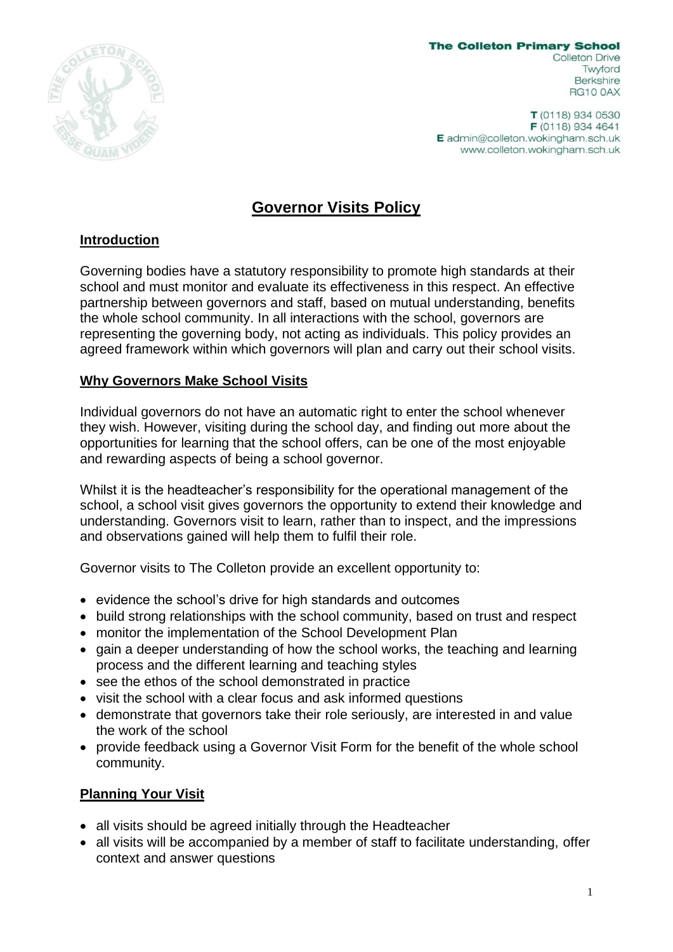

**The Colleton Primary School Colleton Drive** Twyford **Berkshire RG10 0AX** 

 $T(0118)$  934 0530 F (0118) 934 4641 E admin@colleton.wokingham.sch.uk www.colleton.wokingham.sch.uk

## **Governor Visits Policy**

## **Introduction**

Governing bodies have a statutory responsibility to promote high standards at their school and must monitor and evaluate its effectiveness in this respect. An effective partnership between governors and staff, based on mutual understanding, benefits the whole school community. In all interactions with the school, governors are representing the governing body, not acting as individuals. This policy provides an agreed framework within which governors will plan and carry out their school visits.

## **Why Governors Make School Visits**

Individual governors do not have an automatic right to enter the school whenever they wish. However, visiting during the school day, and finding out more about the opportunities for learning that the school offers, can be one of the most enjoyable and rewarding aspects of being a school governor.

Whilst it is the headteacher's responsibility for the operational management of the school, a school visit gives governors the opportunity to extend their knowledge and understanding. Governors visit to learn, rather than to inspect, and the impressions and observations gained will help them to fulfil their role.

Governor visits to The Colleton provide an excellent opportunity to:

- evidence the school's drive for high standards and outcomes
- build strong relationships with the school community, based on trust and respect
- monitor the implementation of the School Development Plan
- gain a deeper understanding of how the school works, the teaching and learning process and the different learning and teaching styles
- see the ethos of the school demonstrated in practice
- visit the school with a clear focus and ask informed questions
- demonstrate that governors take their role seriously, are interested in and value the work of the school
- provide feedback using a Governor Visit Form for the benefit of the whole school community.

## **Planning Your Visit**

- all visits should be agreed initially through the Headteacher
- all visits will be accompanied by a member of staff to facilitate understanding, offer context and answer questions